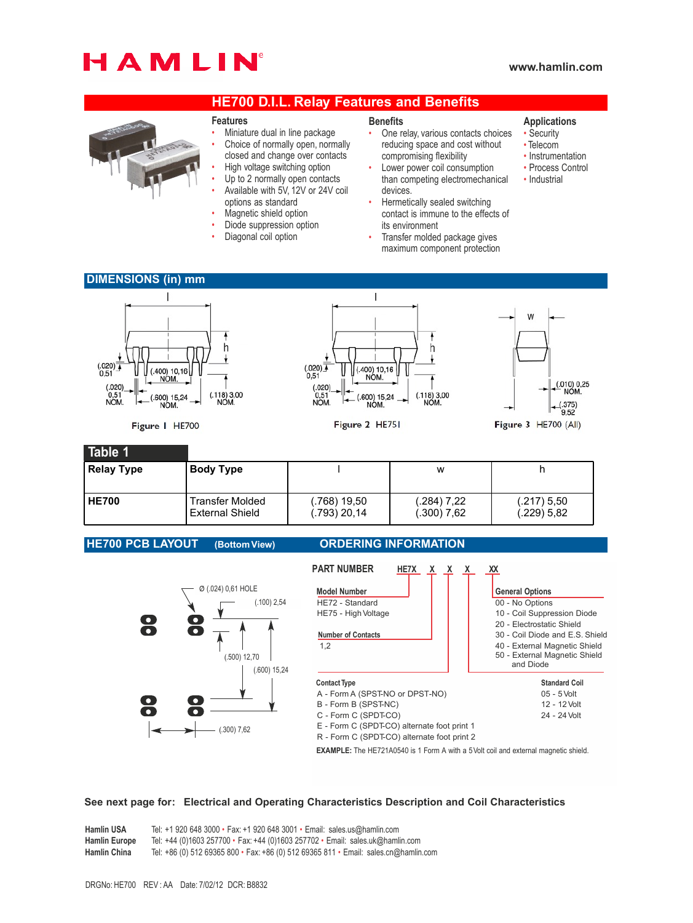# HAMLIN

# **www.hamlin.com**

# **HE700 D.I.L. Relay Features and Benefits**



### **Features**

- Miniature dual in line package
- Choice of normally open, normally
- closed and change over contacts
- High voltage switching option
- Up to 2 normally open contacts • Available with 5V, 12V or 24V coil
- options as standard
- Magnetic shield option
- Diode suppression option
- Diagonal coil option

#### **Benefits**

- One relay, various contacts choices reducing space and cost without compromising flexibility
- Lower power coil consumption than competing electromechanical devices.
- Hermetically sealed switching contact is immune to the effects of its environment
- Transfer molded package gives maximum component protection

## **Applications**

- Security
- Telecom
- Instrumentation
- Process Control
- Industrial
- **DIMENSIONS (in) mm** I  $\overline{1}$ **M** h h  $(0.020)$  $(.020)$  $(.400) 10,16$ <br>NOM.  $(400) 10 18$  $0.51$  $(0.010)$  0,25  $(0.020)$ <br>0,51<br>NOM.  $(.020)$  $(.118)3,00$  $(.118)3,00$ <br>NOM  $0,51$ <br>NOM. 600) 15,24 600) 15,24 **NOM**  $\frac{(.375)}{9.52}$ **NOM NOM** Figure I HE700 Figure 2 HE751 Figure 3 HE700 (All) **Table 1 Relay Type Body Type** l w h

| Relay Type | <b>Body Type</b>       |              | w             |               |
|------------|------------------------|--------------|---------------|---------------|
| l HE700    | Transfer Molded        | (.768) 19.50 | $(.284)$ 7.22 | $(.217)$ 5.50 |
|            | <b>External Shield</b> | (.793) 20,14 | (.300) 7.62   | $(.229)$ 5.82 |

**HE700 PCB LAYOUT (Bottom View) ORDERING INFORMATION**



# **See next page for: Electrical and Operating Characteristics Description and Coil Characteristics**

**Hamlin USA** Tel: +1 920 648 3000 • Fax: +1 920 648 3001 • Email: sales.us@hamlin.com<br>**Hamlin Europe** Tel: +44 (0)1603 257700 • Fax: +44 (0)1603 257702 • Email: sales.uk@haml **Hamlin Europe** Tel: +44 (0)1603 257700 • Fax: +44 (0)1603 257702 • Email: sales.uk@hamlin.com **Hamlin China** Tel: +86 (0) 512 69365 800 • Fax: +86 (0) 512 69365 811 • Email: sales.cn@hamlin.com